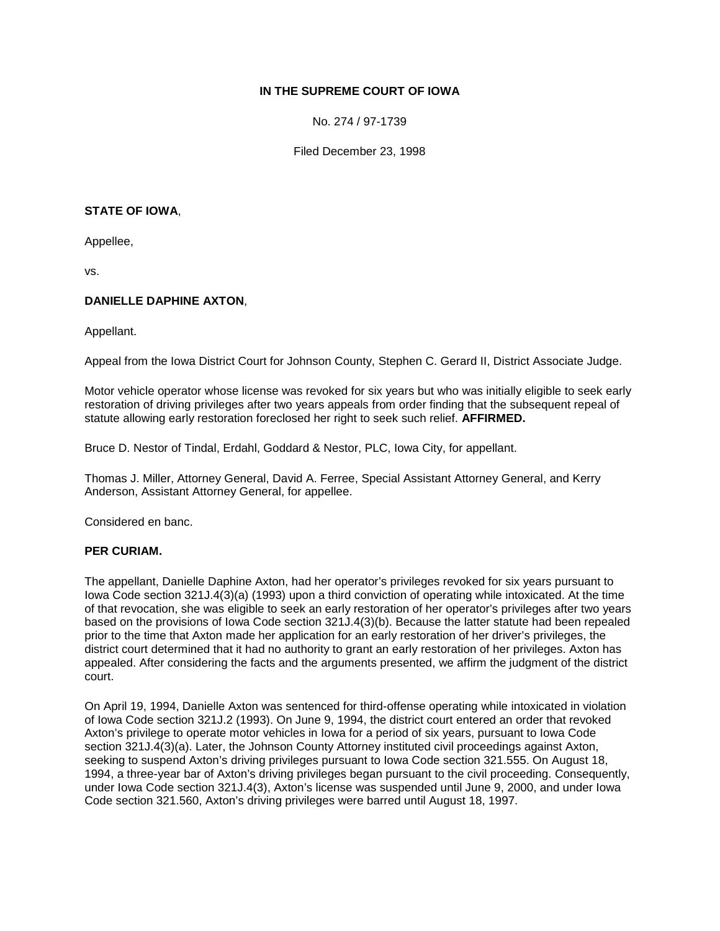## **IN THE SUPREME COURT OF IOWA**

No. 274 / 97-1739

Filed December 23, 1998

#### **STATE OF IOWA**,

Appellee,

vs.

## **DANIELLE DAPHINE AXTON**,

Appellant.

Appeal from the Iowa District Court for Johnson County, Stephen C. Gerard II, District Associate Judge.

Motor vehicle operator whose license was revoked for six years but who was initially eligible to seek early restoration of driving privileges after two years appeals from order finding that the subsequent repeal of statute allowing early restoration foreclosed her right to seek such relief. **AFFIRMED.**

Bruce D. Nestor of Tindal, Erdahl, Goddard & Nestor, PLC, Iowa City, for appellant.

Thomas J. Miller, Attorney General, David A. Ferree, Special Assistant Attorney General, and Kerry Anderson, Assistant Attorney General, for appellee.

Considered en banc.

#### **PER CURIAM.**

The appellant, Danielle Daphine Axton, had her operator's privileges revoked for six years pursuant to Iowa Code section 321J.4(3)(a) (1993) upon a third conviction of operating while intoxicated. At the time of that revocation, she was eligible to seek an early restoration of her operator's privileges after two years based on the provisions of Iowa Code section 321J.4(3)(b). Because the latter statute had been repealed prior to the time that Axton made her application for an early restoration of her driver's privileges, the district court determined that it had no authority to grant an early restoration of her privileges. Axton has appealed. After considering the facts and the arguments presented, we affirm the judgment of the district court.

On April 19, 1994, Danielle Axton was sentenced for third-offense operating while intoxicated in violation of Iowa Code section 321J.2 (1993). On June 9, 1994, the district court entered an order that revoked Axton's privilege to operate motor vehicles in Iowa for a period of six years, pursuant to Iowa Code section 321J.4(3)(a). Later, the Johnson County Attorney instituted civil proceedings against Axton, seeking to suspend Axton's driving privileges pursuant to Iowa Code section 321.555. On August 18, 1994, a three-year bar of Axton's driving privileges began pursuant to the civil proceeding. Consequently, under Iowa Code section 321J.4(3), Axton's license was suspended until June 9, 2000, and under Iowa Code section 321.560, Axton's driving privileges were barred until August 18, 1997.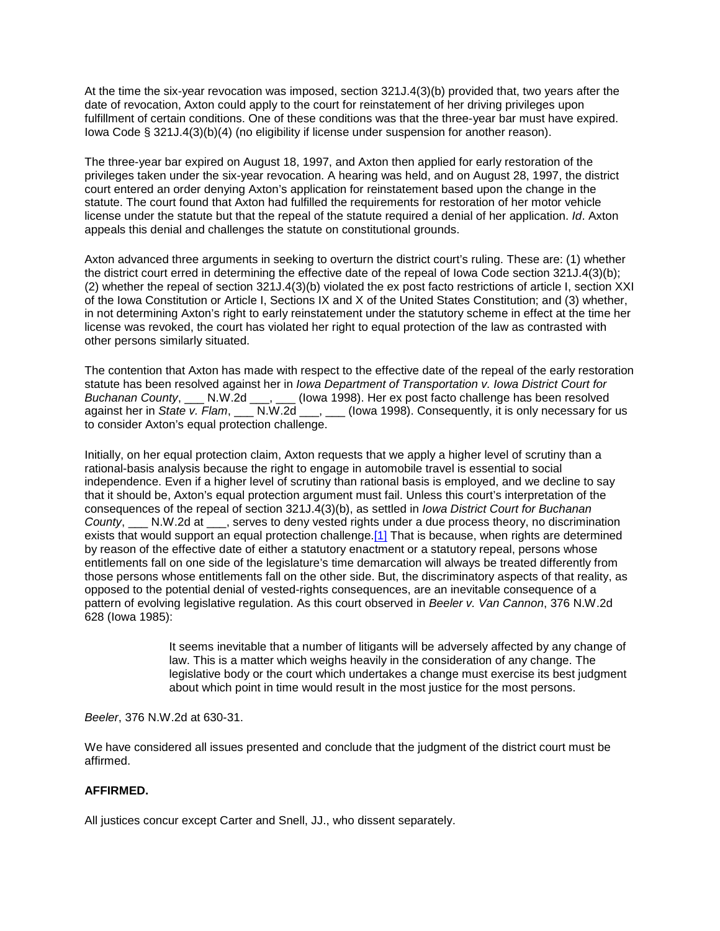At the time the six-year revocation was imposed, section 321J.4(3)(b) provided that, two years after the date of revocation, Axton could apply to the court for reinstatement of her driving privileges upon fulfillment of certain conditions. One of these conditions was that the three-year bar must have expired. Iowa Code § 321J.4(3)(b)(4) (no eligibility if license under suspension for another reason).

The three-year bar expired on August 18, 1997, and Axton then applied for early restoration of the privileges taken under the six-year revocation. A hearing was held, and on August 28, 1997, the district court entered an order denying Axton's application for reinstatement based upon the change in the statute. The court found that Axton had fulfilled the requirements for restoration of her motor vehicle license under the statute but that the repeal of the statute required a denial of her application. *Id*. Axton appeals this denial and challenges the statute on constitutional grounds.

Axton advanced three arguments in seeking to overturn the district court's ruling. These are: (1) whether the district court erred in determining the effective date of the repeal of Iowa Code section 321J.4(3)(b); (2) whether the repeal of section 321J.4(3)(b) violated the ex post facto restrictions of article I, section XXI of the Iowa Constitution or Article I, Sections IX and X of the United States Constitution; and (3) whether, in not determining Axton's right to early reinstatement under the statutory scheme in effect at the time her license was revoked, the court has violated her right to equal protection of the law as contrasted with other persons similarly situated.

The contention that Axton has made with respect to the effective date of the repeal of the early restoration statute has been resolved against her in *Iowa Department of Transportation v. Iowa District Court for Buchanan County*, \_\_\_ N.W.2d \_\_\_, \_\_\_ (Iowa 1998). Her ex post facto challenge has been resolved against her in *State v. Flam*, \_\_\_ N.W.2d \_\_\_, \_\_\_ (lowa 1998). Consequently, it is only necessary for us to consider Axton's equal protection challenge.

Initially, on her equal protection claim, Axton requests that we apply a higher level of scrutiny than a rational-basis analysis because the right to engage in automobile travel is essential to social independence. Even if a higher level of scrutiny than rational basis is employed, and we decline to say that it should be, Axton's equal protection argument must fail. Unless this court's interpretation of the consequences of the repeal of section 321J.4(3)(b), as settled in *Iowa District Court for Buchanan County*, \_\_\_ N.W.2d at \_\_\_, serves to deny vested rights under a due process theory, no discrimination exists that would support an equal protection challenge[.\[1\]](http://www.iowacourts.gov/About_the_Courts/Supreme_Court/Supreme_Court_Opinions/Recent_Opinions/19981223/97-1739.asp?Printable=true#fn1) That is because, when rights are determined by reason of the effective date of either a statutory enactment or a statutory repeal, persons whose entitlements fall on one side of the legislature's time demarcation will always be treated differently from those persons whose entitlements fall on the other side. But, the discriminatory aspects of that reality, as opposed to the potential denial of vested-rights consequences, are an inevitable consequence of a pattern of evolving legislative regulation. As this court observed in *Beeler v. Van Cannon*, 376 N.W.2d 628 (Iowa 1985):

> It seems inevitable that a number of litigants will be adversely affected by any change of law. This is a matter which weighs heavily in the consideration of any change. The legislative body or the court which undertakes a change must exercise its best judgment about which point in time would result in the most justice for the most persons.

*Beeler*, 376 N.W.2d at 630-31.

We have considered all issues presented and conclude that the judgment of the district court must be affirmed.

## **AFFIRMED.**

All justices concur except Carter and Snell, JJ., who dissent separately.